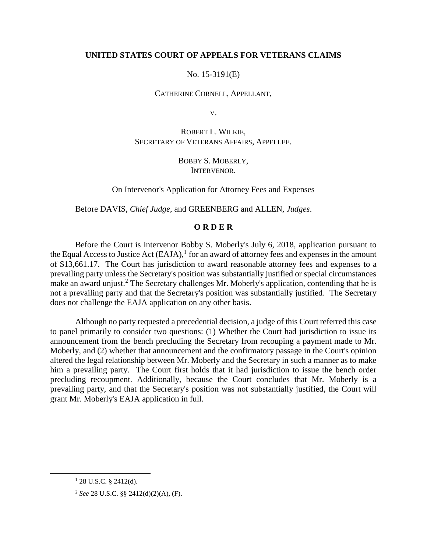### **UNITED STATES COURT OF APPEALS FOR VETERANS CLAIMS**

No. 15-3191(E)

CATHERINE CORNELL, APPELLANT,

V.

ROBERT L. WILKIE, SECRETARY OF VETERANS AFFAIRS, APPELLEE.

> BOBBY S. MOBERLY, INTERVENOR.

On Intervenor's Application for Attorney Fees and Expenses

Before DAVIS, *Chief Judge*, and GREENBERG and ALLEN, *Judges*.

### **O R D E R**

Before the Court is intervenor Bobby S. Moberly's July 6, 2018, application pursuant to the Equal Access to Justice Act  $(EAJA)$ ,<sup>1</sup> for an award of attorney fees and expenses in the amount of \$13,661.17. The Court has jurisdiction to award reasonable attorney fees and expenses to a prevailing party unless the Secretary's position was substantially justified or special circumstances make an award unjust.<sup>2</sup> The Secretary challenges Mr. Moberly's application, contending that he is not a prevailing party and that the Secretary's position was substantially justified. The Secretary does not challenge the EAJA application on any other basis.

Although no party requested a precedential decision, a judge of this Court referred this case to panel primarily to consider two questions: (1) Whether the Court had jurisdiction to issue its announcement from the bench precluding the Secretary from recouping a payment made to Mr. Moberly, and (2) whether that announcement and the confirmatory passage in the Court's opinion altered the legal relationship between Mr. Moberly and the Secretary in such a manner as to make him a prevailing party. The Court first holds that it had jurisdiction to issue the bench order precluding recoupment. Additionally, because the Court concludes that Mr. Moberly is a prevailing party, and that the Secretary's position was not substantially justified, the Court will grant Mr. Moberly's EAJA application in full.

 $128$  U.S.C. § 2412(d).

<sup>2</sup> *See* 28 U.S.C. §§ 2412(d)(2)(A), (F).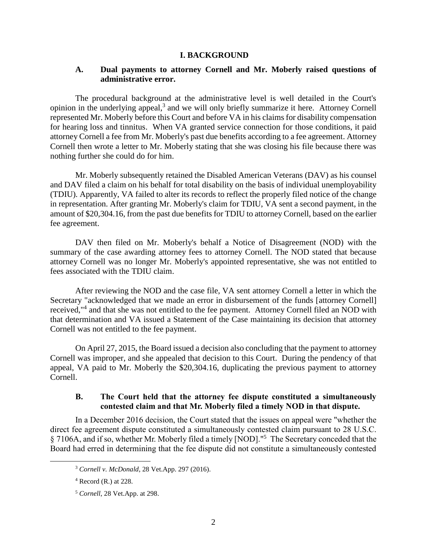### **I. BACKGROUND**

# **A. Dual payments to attorney Cornell and Mr. Moberly raised questions of administrative error.**

The procedural background at the administrative level is well detailed in the Court's opinion in the underlying appeal,<sup>3</sup> and we will only briefly summarize it here. Attorney Cornell represented Mr. Moberly before this Court and before VA in his claims for disability compensation for hearing loss and tinnitus. When VA granted service connection for those conditions, it paid attorney Cornell a fee from Mr. Moberly's past due benefits according to a fee agreement. Attorney Cornell then wrote a letter to Mr. Moberly stating that she was closing his file because there was nothing further she could do for him.

Mr. Moberly subsequently retained the Disabled American Veterans (DAV) as his counsel and DAV filed a claim on his behalf for total disability on the basis of individual unemployability (TDIU). Apparently, VA failed to alter its records to reflect the properly filed notice of the change in representation. After granting Mr. Moberly's claim for TDIU, VA sent a second payment, in the amount of \$20,304.16, from the past due benefits for TDIU to attorney Cornell, based on the earlier fee agreement.

DAV then filed on Mr. Moberly's behalf a Notice of Disagreement (NOD) with the summary of the case awarding attorney fees to attorney Cornell. The NOD stated that because attorney Cornell was no longer Mr. Moberly's appointed representative, she was not entitled to fees associated with the TDIU claim.

After reviewing the NOD and the case file, VA sent attorney Cornell a letter in which the Secretary "acknowledged that we made an error in disbursement of the funds [attorney Cornell] received,"<sup>4</sup> and that she was not entitled to the fee payment. Attorney Cornell filed an NOD with that determination and VA issued a Statement of the Case maintaining its decision that attorney Cornell was not entitled to the fee payment.

On April 27, 2015, the Board issued a decision also concluding that the payment to attorney Cornell was improper, and she appealed that decision to this Court. During the pendency of that appeal, VA paid to Mr. Moberly the \$20,304.16, duplicating the previous payment to attorney Cornell.

# **B. The Court held that the attorney fee dispute constituted a simultaneously contested claim and that Mr. Moberly filed a timely NOD in that dispute.**

In a December 2016 decision, the Court stated that the issues on appeal were "whether the direct fee agreement dispute constituted a simultaneously contested claim pursuant to 28 U.S.C. § 7106A, and if so, whether Mr. Moberly filed a timely [NOD]."<sup>5</sup> The Secretary conceded that the Board had erred in determining that the fee dispute did not constitute a simultaneously contested

<sup>3</sup> *Cornell v. McDonald*, 28 Vet.App. 297 (2016).

 $4$  Record (R.) at 228.

<sup>5</sup> *Cornell*, 28 Vet.App. at 298.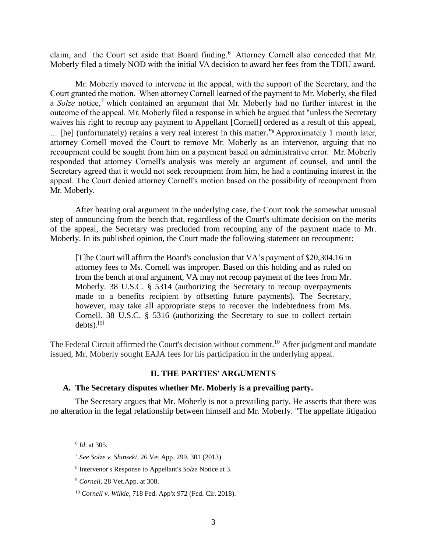claim, and the Court set aside that Board finding. 6 Attorney Cornell also conceded that Mr. Moberly filed a timely NOD with the initial VA decision to award her fees from the TDIU award.

Mr. Moberly moved to intervene in the appeal, with the support of the Secretary, and the Court granted the motion. When attorney Cornell learned of the payment to Mr. Moberly, she filed a *Solze* notice,<sup>7</sup> which contained an argument that Mr. Moberly had no further interest in the outcome of the appeal. Mr. Moberly filed a response in which he argued that "unless the Secretary waives his right to recoup any payment to Appellant [Cornell] ordered as a result of this appeal, *…* [he] (unfortunately) retains a very real interest in this matter."<sup>8</sup> Approximately 1 month later, attorney Cornell moved the Court to remove Mr. Moberly as an intervenor, arguing that no recoupment could be sought from him on a payment based on administrative error. Mr. Moberly responded that attorney Cornell's analysis was merely an argument of counsel, and until the Secretary agreed that it would not seek recoupment from him, he had a continuing interest in the appeal. The Court denied attorney Cornell's motion based on the possibility of recoupment from Mr. Moberly.

After hearing oral argument in the underlying case, the Court took the somewhat unusual step of announcing from the bench that, regardless of the Court's ultimate decision on the merits of the appeal, the Secretary was precluded from recouping any of the payment made to Mr. Moberly. In its published opinion, the Court made the following statement on recoupment:

[T]he Court will affirm the Board's conclusion that VA's payment of \$20,304.16 in attorney fees to Ms. Cornell was improper. Based on this holding and as ruled on from the bench at oral argument, VA may not recoup payment of the fees from Mr. Moberly. 38 U.S.C. § 5314 (authorizing the Secretary to recoup overpayments made to a benefits recipient by offsetting future payments). The Secretary, however, may take all appropriate steps to recover the indebtedness from Ms. Cornell. 38 U.S.C. § 5316 (authorizing the Secretary to sue to collect certain debts). $^{[9]}$ 

The Federal Circuit affirmed the Court's decision without comment.<sup>10</sup> After judgment and mandate issued, Mr. Moberly sought EAJA fees for his participation in the underlying appeal.

### **II. THE PARTIES' ARGUMENTS**

### **A. The Secretary disputes whether Mr. Moberly is a prevailing party.**

The Secretary argues that Mr. Moberly is not a prevailing party. He asserts that there was no alteration in the legal relationship between himself and Mr. Moberly. "The appellate litigation

<sup>6</sup> *Id*. at 305.

<sup>7</sup> *See Solze v. Shinseki*, 26 Vet.App. 299, 301 (2013).

<sup>8</sup> Intervenor's Response to Appellant's *Solze* Notice at 3.

<sup>9</sup> *Cornell*, 28 Vet.App. at 308.

<sup>10</sup> *Cornell v. Wilkie*, 718 Fed. App'x 972 (Fed. Cir. 2018).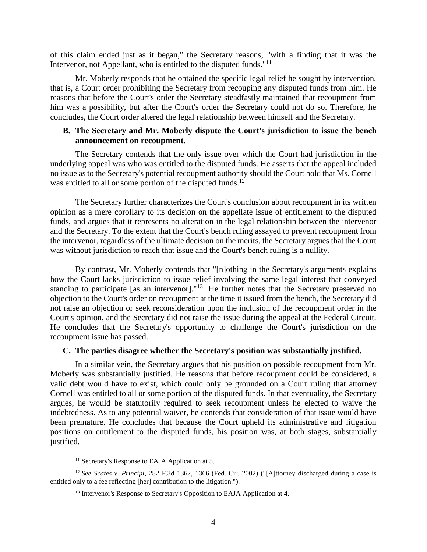of this claim ended just as it began," the Secretary reasons, "with a finding that it was the Intervenor, not Appellant, who is entitled to the disputed funds."<sup>11</sup>

Mr. Moberly responds that he obtained the specific legal relief he sought by intervention, that is, a Court order prohibiting the Secretary from recouping any disputed funds from him. He reasons that before the Court's order the Secretary steadfastly maintained that recoupment from him was a possibility, but after the Court's order the Secretary could not do so. Therefore, he concludes, the Court order altered the legal relationship between himself and the Secretary.

### **B. The Secretary and Mr. Moberly dispute the Court's jurisdiction to issue the bench announcement on recoupment.**

The Secretary contends that the only issue over which the Court had jurisdiction in the underlying appeal was who was entitled to the disputed funds. He asserts that the appeal included no issue as to the Secretary's potential recoupment authority should the Court hold that Ms. Cornell was entitled to all or some portion of the disputed funds.<sup>12</sup>

The Secretary further characterizes the Court's conclusion about recoupment in its written opinion as a mere corollary to its decision on the appellate issue of entitlement to the disputed funds, and argues that it represents no alteration in the legal relationship between the intervenor and the Secretary. To the extent that the Court's bench ruling assayed to prevent recoupment from the intervenor, regardless of the ultimate decision on the merits, the Secretary argues that the Court was without jurisdiction to reach that issue and the Court's bench ruling is a nullity.

By contrast, Mr. Moberly contends that "[n]othing in the Secretary's arguments explains how the Court lacks jurisdiction to issue relief involving the same legal interest that conveyed standing to participate [as an intervenor]."<sup>13</sup> He further notes that the Secretary preserved no objection to the Court's order on recoupment at the time it issued from the bench, the Secretary did not raise an objection or seek reconsideration upon the inclusion of the recoupment order in the Court's opinion, and the Secretary did not raise the issue during the appeal at the Federal Circuit. He concludes that the Secretary's opportunity to challenge the Court's jurisdiction on the recoupment issue has passed.

### **C. The parties disagree whether the Secretary's position was substantially justified.**

In a similar vein, the Secretary argues that his position on possible recoupment from Mr. Moberly was substantially justified. He reasons that before recoupment could be considered, a valid debt would have to exist, which could only be grounded on a Court ruling that attorney Cornell was entitled to all or some portion of the disputed funds. In that eventuality, the Secretary argues, he would be statutorily required to seek recoupment unless he elected to waive the indebtedness. As to any potential waiver, he contends that consideration of that issue would have been premature. He concludes that because the Court upheld its administrative and litigation positions on entitlement to the disputed funds, his position was, at both stages, substantially justified.

<sup>&</sup>lt;sup>11</sup> Secretary's Response to EAJA Application at 5.

<sup>12</sup> *See Scates v. Principi*, 282 F.3d 1362, 1366 (Fed. Cir. 2002) ("[A]ttorney discharged during a case is entitled only to a fee reflecting [her] contribution to the litigation.").

<sup>&</sup>lt;sup>13</sup> Intervenor's Response to Secretary's Opposition to EAJA Application at 4.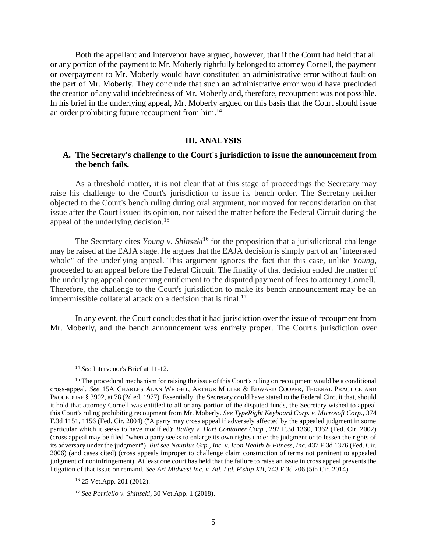Both the appellant and intervenor have argued, however, that if the Court had held that all or any portion of the payment to Mr. Moberly rightfully belonged to attorney Cornell, the payment or overpayment to Mr. Moberly would have constituted an administrative error without fault on the part of Mr. Moberly. They conclude that such an administrative error would have precluded the creation of any valid indebtedness of Mr. Moberly and, therefore, recoupment was not possible. In his brief in the underlying appeal, Mr. Moberly argued on this basis that the Court should issue an order prohibiting future recoupment from him.<sup>14</sup>

#### **III. ANALYSIS**

# **A. The Secretary's challenge to the Court's jurisdiction to issue the announcement from the bench fails.**

As a threshold matter, it is not clear that at this stage of proceedings the Secretary may raise his challenge to the Court's jurisdiction to issue its bench order. The Secretary neither objected to the Court's bench ruling during oral argument, nor moved for reconsideration on that issue after the Court issued its opinion, nor raised the matter before the Federal Circuit during the appeal of the underlying decision.<sup>15</sup>

The Secretary cites *Young v. Shinseki*<sup>16</sup> for the proposition that a jurisdictional challenge may be raised at the EAJA stage. He argues that the EAJA decision is simply part of an "integrated whole" of the underlying appeal. This argument ignores the fact that this case, unlike *Young*, proceeded to an appeal before the Federal Circuit. The finality of that decision ended the matter of the underlying appeal concerning entitlement to the disputed payment of fees to attorney Cornell. Therefore, the challenge to the Court's jurisdiction to make its bench announcement may be an impermissible collateral attack on a decision that is final.<sup>17</sup>

In any event, the Court concludes that it had jurisdiction over the issue of recoupment from Mr. Moberly, and the bench announcement was entirely proper. The Court's jurisdiction over

<sup>14</sup> *See* Intervenor's Brief at 11-12.

<sup>&</sup>lt;sup>15</sup> The procedural mechanism for raising the issue of this Court's ruling on recoupment would be a conditional cross-appeal. *See* 15A CHARLES ALAN WRIGHT, ARTHUR MILLER & EDWARD COOPER, FEDERAL PRACTICE AND PROCEDURE § 3902, at 78 (2d ed. 1977). Essentially, the Secretary could have stated to the Federal Circuit that, should it hold that attorney Cornell was entitled to all or any portion of the disputed funds, the Secretary wished to appeal this Court's ruling prohibiting recoupment from Mr. Moberly. *See TypeRight Keyboard Corp. v. Microsoft Corp.*, 374 F.3d 1151, 1156 (Fed. Cir. 2004) ("A party may cross appeal if adversely affected by the appealed judgment in some particular which it seeks to have modified); *Bailey v. Dart Container Corp.*, 292 F.3d 1360, 1362 (Fed. Cir. 2002) (cross appeal may be filed "when a party seeks to enlarge its own rights under the judgment or to lessen the rights of its adversary under the judgment"). *But see Nautilus Grp., Inc. v. Icon Health & Fitness, Inc.* 437 F.3d 1376 (Fed. Cir. 2006) (and cases cited) (cross appeals improper to challenge claim construction of terms not pertinent to appealed judgment of noninfringement). At least one court has held that the failure to raise an issue in cross appeal prevents the litigation of that issue on remand. *See Art Midwest Inc. v. Atl. Ltd. P'ship XII*, 743 F.3d 206 (5th Cir. 2014).

<sup>16</sup> 25 Vet.App. 201 (2012).

<sup>17</sup> *See Porriello v. Shinseki*, 30 Vet.App. 1 (2018).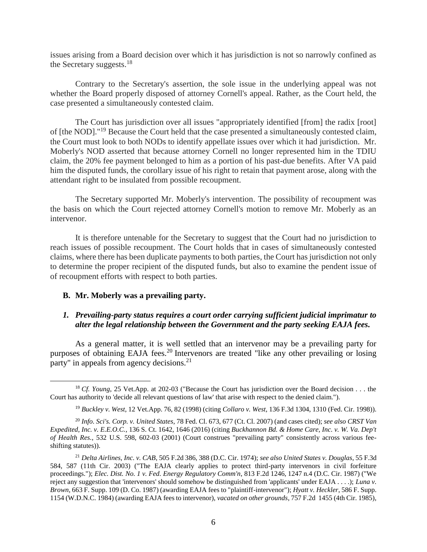issues arising from a Board decision over which it has jurisdiction is not so narrowly confined as the Secretary suggests. $18$ 

Contrary to the Secretary's assertion, the sole issue in the underlying appeal was not whether the Board properly disposed of attorney Cornell's appeal. Rather, as the Court held, the case presented a simultaneously contested claim.

The Court has jurisdiction over all issues "appropriately identified [from] the radix [root] of [the NOD]."<sup>19</sup> Because the Court held that the case presented a simultaneously contested claim, the Court must look to both NODs to identify appellate issues over which it had jurisdiction. Mr. Moberly's NOD asserted that because attorney Cornell no longer represented him in the TDIU claim, the 20% fee payment belonged to him as a portion of his past-due benefits. After VA paid him the disputed funds, the corollary issue of his right to retain that payment arose, along with the attendant right to be insulated from possible recoupment.

The Secretary supported Mr. Moberly's intervention. The possibility of recoupment was the basis on which the Court rejected attorney Cornell's motion to remove Mr. Moberly as an intervenor.

It is therefore untenable for the Secretary to suggest that the Court had no jurisdiction to reach issues of possible recoupment. The Court holds that in cases of simultaneously contested claims, where there has been duplicate payments to both parties, the Court has jurisdiction not only to determine the proper recipient of the disputed funds, but also to examine the pendent issue of of recoupment efforts with respect to both parties.

# **B. Mr. Moberly was a prevailing party.**

 $\overline{a}$ 

# *1. Prevailing-party status requires a court order carrying sufficient judicial imprimatur to alter the legal relationship between the Government and the party seeking EAJA fees.*

As a general matter, it is well settled that an intervenor may be a prevailing party for purposes of obtaining EAJA fees.<sup>20</sup> Intervenors are treated "like any other prevailing or losing party" in appeals from agency decisions.<sup>21</sup>

<sup>18</sup> *Cf. Young*, 25 Vet.App. at 202-03 ("Because the Court has jurisdiction over the Board decision . . . the Court has authority to 'decide all relevant questions of law' that arise with respect to the denied claim.").

<sup>19</sup> *Buckley v. West*, 12 Vet.App. 76, 82 (1998) (citing *Collaro v. West*, 136 F.3d 1304, 1310 (Fed. Cir. 1998)).

<sup>20</sup> *Info. Sci's. Corp. v. United States*, 78 Fed. Cl. 673, 677 (Ct. Cl. 2007) (and cases cited); *see also CRST Van Expedited, Inc. v. E.E.O.C.*, 136 S. Ct. 1642, 1646 (2016) (citing *Buckhannon Bd. & Home Care, Inc. v. W. Va. Dep't of Health Res.*, 532 U.S. 598, 602-03 (2001) (Court construes "prevailing party" consistently across various feeshifting statutes)).

<sup>21</sup> *Delta Airlines, Inc. v. CAB*, 505 F.2d 386, 388 (D.C. Cir. 1974); *see also United States v. Douglas*, 55 F.3d 584, 587 (11th Cir. 2003) ("The EAJA clearly applies to protect third-party intervenors in civil forfeiture proceedings."); *Elec. Dist. No. 1 v. Fed. Energy Regulatory Comm'n*, 813 F.2d 1246, 1247 n.4 (D.C. Cir. 1987) ("We reject any suggestion that 'intervenors' should somehow be distinguished from 'applicants' under EAJA . . . .); *Luna v. Brown*, 663 F. Supp. 109 (D. Co. 1987) (awarding EAJA fees to "plaintiff-intervenor"); *Hyatt v. Heckler*, 586 F. Supp. 1154 (W.D.N.C. 1984) (awarding EAJA fees to intervenor), *vacated on other grounds*, 757 F.2d 1455 (4th Cir. 1985),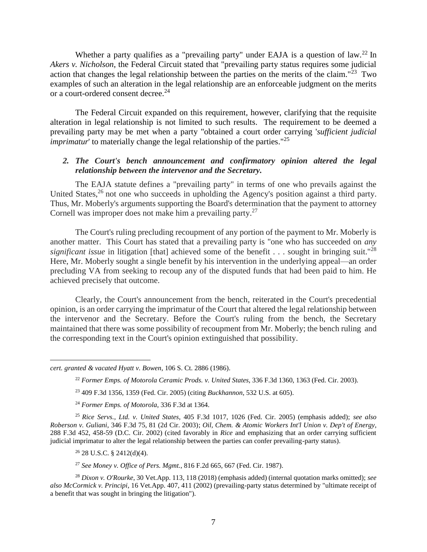Whether a party qualifies as a "prevailing party" under EAJA is a question of law.<sup>22</sup> In *Akers v. Nicholson*, the Federal Circuit stated that "prevailing party status requires some judicial action that changes the legal relationship between the parties on the merits of the claim."<sup>23</sup> Two examples of such an alteration in the legal relationship are an enforceable judgment on the merits or a court-ordered consent decree.<sup>24</sup>

The Federal Circuit expanded on this requirement, however, clarifying that the requisite alteration in legal relationship is not limited to such results. The requirement to be deemed a prevailing party may be met when a party "obtained a court order carrying '*sufficient judicial imprimatur*' to materially change the legal relationship of the parties."<sup>25</sup>

# *2. The Court's bench announcement and confirmatory opinion altered the legal relationship between the intervenor and the Secretary.*

The EAJA statute defines a "prevailing party" in terms of one who prevails against the United States,  $26$  not one who succeeds in upholding the Agency's position against a third party. Thus, Mr. Moberly's arguments supporting the Board's determination that the payment to attorney Cornell was improper does not make him a prevailing party.<sup>27</sup>

 The Court's ruling precluding recoupment of any portion of the payment to Mr. Moberly is another matter. This Court has stated that a prevailing party is "one who has succeeded on *any significant issue* in litigation [that] achieved some of the benefit . . . sought in bringing suit."<sup>28</sup> Here, Mr. Moberly sought a single benefit by his intervention in the underlying appeal—an order precluding VA from seeking to recoup any of the disputed funds that had been paid to him. He achieved precisely that outcome.

Clearly, the Court's announcement from the bench, reiterated in the Court's precedential opinion, is an order carrying the imprimatur of the Court that altered the legal relationship between the intervenor and the Secretary. Before the Court's ruling from the bench, the Secretary maintained that there was some possibility of recoupment from Mr. Moberly; the bench ruling and the corresponding text in the Court's opinion extinguished that possibility.

 $26$  28 U.S.C. § 2412(d)(4).

 $\overline{a}$ 

<sup>27</sup> *See Money v. Office of Pers. Mgmt.*, 816 F.2d 665, 667 (Fed. Cir. 1987).

*cert. granted & vacated Hyatt v. Bowen*, 106 S. Ct. 2886 (1986).

<sup>22</sup> *Former Emps. of Motorola Ceramic Prods. v. United States*, 336 F.3d 1360, 1363 (Fed. Cir. 2003).

<sup>23</sup> 409 F.3d 1356, 1359 (Fed. Cir. 2005) (citing *Buckhannon*, 532 U.S. at 605).

<sup>24</sup> *Former Emps. of Motorola*, 336 F.3d at 1364.

<sup>25</sup> *Rice Servs., Ltd. v. United States*, 405 F.3d 1017, 1026 (Fed. Cir. 2005) (emphasis added); *see also Roberson v. Guliani*, 346 F.3d 75, 81 (2d Cir. 2003); *Oil, Chem. & Atomic Workers Int'l Union v. Dep't of Energy*, 288 F.3d 452, 458-59 (D.C. Cir. 2002) (cited favorably in *Rice* and emphasizing that an order carrying sufficient judicial imprimatur to alter the legal relationship between the parties can confer prevailing-party status).

<sup>28</sup> *Dixon v. O'Rourke*, 30 Vet.App. 113, 118 (2018) (emphasis added) (internal quotation marks omitted); *see also McCormick v. Principi*, 16 Vet.App. 407, 411 (2002) (prevailing-party status determined by "ultimate receipt of a benefit that was sought in bringing the litigation").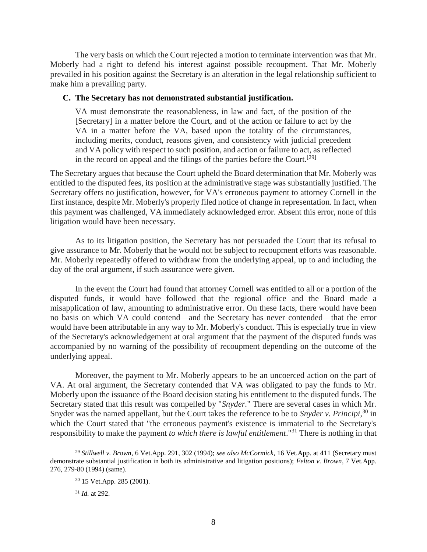The very basis on which the Court rejected a motion to terminate intervention was that Mr. Moberly had a right to defend his interest against possible recoupment. That Mr. Moberly prevailed in his position against the Secretary is an alteration in the legal relationship sufficient to make him a prevailing party.

#### **C. The Secretary has not demonstrated substantial justification.**

VA must demonstrate the reasonableness, in law and fact, of the position of the [Secretary] in a matter before the Court, and of the action or failure to act by the VA in a matter before the VA, based upon the totality of the circumstances, including merits, conduct, reasons given, and consistency with judicial precedent and VA policy with respect to such position, and action or failure to act, as reflected in the record on appeal and the filings of the parties before the Court.<sup>[29]</sup>

The Secretary argues that because the Court upheld the Board determination that Mr. Moberly was entitled to the disputed fees, its position at the administrative stage was substantially justified. The Secretary offers no justification, however, for VA's erroneous payment to attorney Cornell in the first instance, despite Mr. Moberly's properly filed notice of change in representation. In fact, when this payment was challenged, VA immediately acknowledged error. Absent this error, none of this litigation would have been necessary.

As to its litigation position, the Secretary has not persuaded the Court that its refusal to give assurance to Mr. Moberly that he would not be subject to recoupment efforts was reasonable. Mr. Moberly repeatedly offered to withdraw from the underlying appeal, up to and including the day of the oral argument, if such assurance were given.

In the event the Court had found that attorney Cornell was entitled to all or a portion of the disputed funds, it would have followed that the regional office and the Board made a misapplication of law, amounting to administrative error. On these facts, there would have been no basis on which VA could contend—and the Secretary has never contended—that the error would have been attributable in any way to Mr. Moberly's conduct. This is especially true in view of the Secretary's acknowledgement at oral argument that the payment of the disputed funds was accompanied by no warning of the possibility of recoupment depending on the outcome of the underlying appeal.

Moreover, the payment to Mr. Moberly appears to be an uncoerced action on the part of VA. At oral argument, the Secretary contended that VA was obligated to pay the funds to Mr. Moberly upon the issuance of the Board decision stating his entitlement to the disputed funds. The Secretary stated that this result was compelled by "*Snyder.*" There are several cases in which Mr. Snyder was the named appellant, but the Court takes the reference to be to *Snyder v. Principi*, <sup>30</sup> in which the Court stated that "the erroneous payment's existence is immaterial to the Secretary's responsibility to make the payment *to which there is lawful entitlement*."<sup>31</sup> There is nothing in that

<sup>29</sup> *Stillwell v. Brown*, 6 Vet.App. 291, 302 (1994); *see also McCormick*, 16 Vet.App. at 411 (Secretary must demonstrate substantial justification in both its administrative and litigation positions); *Felton v. Brown*, 7 Vet.App. 276, 279-80 (1994) (same).

<sup>30</sup> 15 Vet.App. 285 (2001).

<sup>31</sup> *Id.* at 292.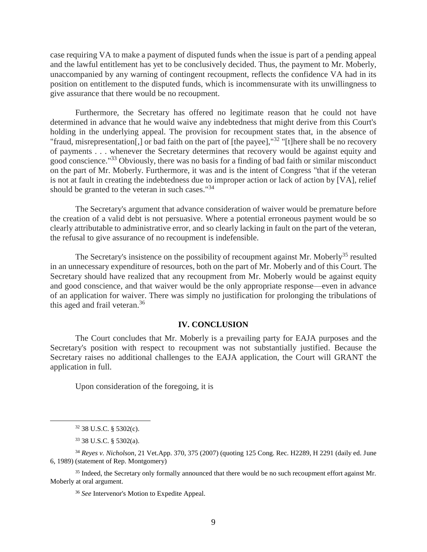case requiring VA to make a payment of disputed funds when the issue is part of a pending appeal and the lawful entitlement has yet to be conclusively decided. Thus, the payment to Mr. Moberly, unaccompanied by any warning of contingent recoupment, reflects the confidence VA had in its position on entitlement to the disputed funds, which is incommensurate with its unwillingness to give assurance that there would be no recoupment.

Furthermore, the Secretary has offered no legitimate reason that he could not have determined in advance that he would waive any indebtedness that might derive from this Court's holding in the underlying appeal. The provision for recoupment states that, in the absence of "fraud, misrepresentation[,] or bad faith on the part of [the payee],"<sup>32</sup> "[t]here shall be no recovery of payments . . . whenever the Secretary determines that recovery would be against equity and good conscience."<sup>33</sup> Obviously, there was no basis for a finding of bad faith or similar misconduct on the part of Mr. Moberly. Furthermore, it was and is the intent of Congress "that if the veteran is not at fault in creating the indebtedness due to improper action or lack of action by [VA], relief should be granted to the veteran in such cases."<sup>34</sup>

The Secretary's argument that advance consideration of waiver would be premature before the creation of a valid debt is not persuasive. Where a potential erroneous payment would be so clearly attributable to administrative error, and so clearly lacking in fault on the part of the veteran, the refusal to give assurance of no recoupment is indefensible.

The Secretary's insistence on the possibility of recoupment against Mr. Moberly<sup>35</sup> resulted in an unnecessary expenditure of resources, both on the part of Mr. Moberly and of this Court. The Secretary should have realized that any recoupment from Mr. Moberly would be against equity and good conscience, and that waiver would be the only appropriate response—even in advance of an application for waiver. There was simply no justification for prolonging the tribulations of this aged and frail veteran. 36

#### **IV. CONCLUSION**

The Court concludes that Mr. Moberly is a prevailing party for EAJA purposes and the Secretary's position with respect to recoupment was not substantially justified. Because the Secretary raises no additional challenges to the EAJA application, the Court will GRANT the application in full.

Upon consideration of the foregoing, it is

 $32$  38 U.S.C. § 5302(c).

<sup>33</sup> 38 U.S.C. § 5302(a).

<sup>34</sup> *Reyes v. Nicholson*, 21 Vet.App. 370, 375 (2007) (quoting 125 Cong. Rec. H2289, H 2291 (daily ed. June 6, 1989) (statement of Rep. Montgomery)

<sup>&</sup>lt;sup>35</sup> Indeed, the Secretary only formally announced that there would be no such recoupment effort against Mr. Moberly at oral argument.

<sup>36</sup> *See* Intervenor's Motion to Expedite Appeal.